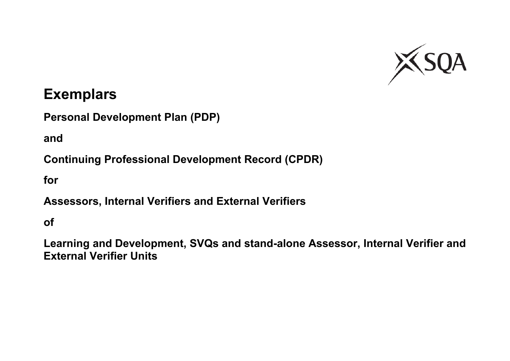

# **Exemplars**

**Personal Development Plan (PDP)**

**and**

**Continuing Professional Development Record (CPDR)**

**for**

**Assessors, Internal Verifiers and External Verifiers**

**of**

**Learning and Development, SVQs and stand-alone Assessor, Internal Verifier and External Verifier Units**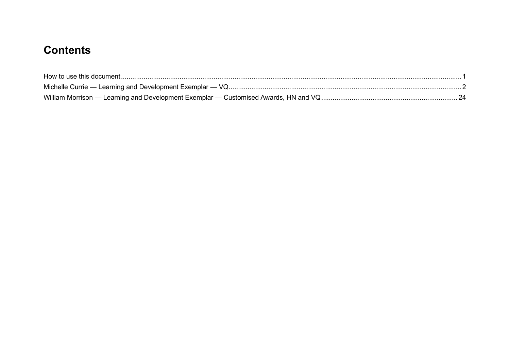## **Contents**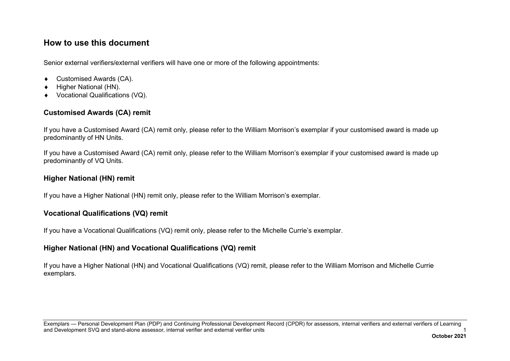## <span id="page-2-0"></span>**How to use this document**

Senior external verifiers/external verifiers will have one or more of the following appointments:

- ♦ Customised Awards (CA).
- Higher National (HN).
- ♦ Vocational Qualifications (VQ).

## **Customised Awards (CA) remit**

If you have a Customised Award (CA) remit only, please refer to the William Morrison's exemplar if your customised award is made up predominantly of HN Units.

If you have a Customised Award (CA) remit only, please refer to the William Morrison's exemplar if your customised award is made up predominantly of VQ Units.

#### **Higher National (HN) remit**

If you have a Higher National (HN) remit only, please refer to the William Morrison's exemplar.

#### **Vocational Qualifications (VQ) remit**

If you have a Vocational Qualifications (VQ) remit only, please refer to the Michelle Currie's exemplar.

#### **Higher National (HN) and Vocational Qualifications (VQ) remit**

If you have a Higher National (HN) and Vocational Qualifications (VQ) remit, please refer to the William Morrison and Michelle Currie exemplars.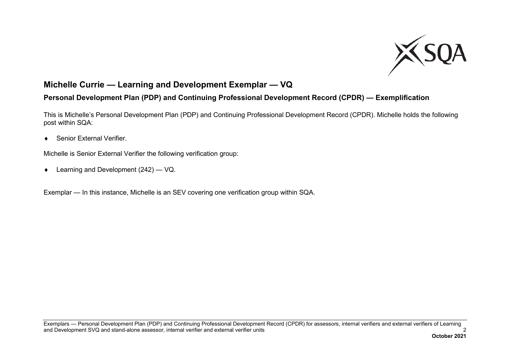

## <span id="page-3-0"></span>**Michelle Currie — Learning and Development Exemplar — VQ**

## **Personal Development Plan (PDP) and Continuing Professional Development Record (CPDR) — Exemplification**

This is Michelle's Personal Development Plan (PDP) and Continuing Professional Development Record (CPDR). Michelle holds the following post within SQA:

♦ Senior External Verifier.

Michelle is Senior External Verifier the following verification group:

♦ Learning and Development (242) — VQ.

Exemplar — In this instance, Michelle is an SEV covering one verification group within SQA.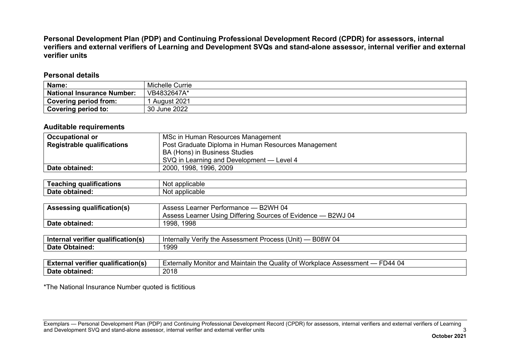**Personal Development Plan (PDP) and Continuing Professional Development Record (CPDR) for assessors, internal verifiers and external verifiers of Learning and Development SVQs and stand-alone assessor, internal verifier and external verifier units**

#### **Personal details**

| Name:                             | Michelle Currie |
|-----------------------------------|-----------------|
| <b>National Insurance Number:</b> | VB4832647A*     |
| Covering period from:             | August 2021     |
| Covering period to:               | 30 June 2022    |

#### **Auditable requirements**

| <b>Occupational or</b>            | MSc in Human Resources Management                   |  |
|-----------------------------------|-----------------------------------------------------|--|
| <b>Registrable qualifications</b> | Post Graduate Diploma in Human Resources Management |  |
|                                   | BA (Hons) in Business Studies                       |  |
|                                   | SVQ in Learning and Development — Level 4           |  |
| Date obtained:                    | 2000, 1998, 1996, 2009                              |  |

| .<br>Taarh<br>qualifications<br>chınc<br>יוס ו | applicable<br>Not |
|------------------------------------------------|-------------------|
| <b>Date</b>                                    | applicable        |
| obtained:                                      | Not               |

| <b>Assessing qualification(s)</b> | Assess Learner Performance - B2WH 04                         |  |  |
|-----------------------------------|--------------------------------------------------------------|--|--|
|                                   | Assess Learner Using Differing Sources of Evidence — B2WJ 04 |  |  |
| Date obtained:                    | 1998, 1998                                                   |  |  |
|                                   |                                                              |  |  |

| ---<br>cualification(s)<br>∃ntern<br>. veritler<br>на | <b>B08W</b><br>$\sim$<br>.<br>⊥iall∨<br>, Unit) .<br>erity the<br>Intern<br>Accaccmant<br>Procacc<br>- U4<br>nen<br>וככסככר<br>I UUGOO |
|-------------------------------------------------------|----------------------------------------------------------------------------------------------------------------------------------------|
| <b>Date</b><br>Obtained:                              | 1999                                                                                                                                   |

| <br>- -<br><b>r</b> qualification(s)<br>veritie<br>∠xte·<br>на | $\cdots$<br>Workplace<br>⊧xternall∨<br>Assessment<br>Maintain the<br>Monitor<br>and<br>⊾ualıtv<br>44ص<br>-04<br>υı |
|----------------------------------------------------------------|--------------------------------------------------------------------------------------------------------------------|
| Date                                                           | nned                                                                                                               |
| obtained.                                                      | טו ט                                                                                                               |

\*The National Insurance Number quoted is fictitious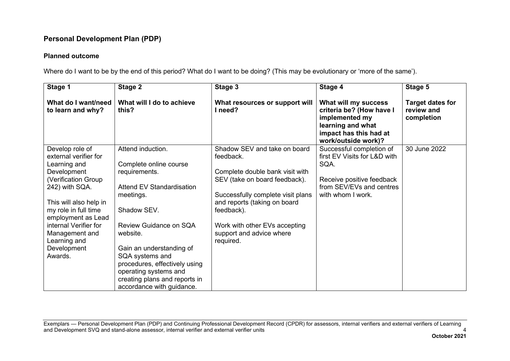#### **Planned outcome**

Where do I want to be by the end of this period? What do I want to be doing? (This may be evolutionary or 'more of the same').

| What will I do to achieve                                                                                                                                                                                                                                       |                                                                                                                                                                                                                                                                            |                                                                                                                                                |                                                     |
|-----------------------------------------------------------------------------------------------------------------------------------------------------------------------------------------------------------------------------------------------------------------|----------------------------------------------------------------------------------------------------------------------------------------------------------------------------------------------------------------------------------------------------------------------------|------------------------------------------------------------------------------------------------------------------------------------------------|-----------------------------------------------------|
|                                                                                                                                                                                                                                                                 | What resources or support will<br>l need?                                                                                                                                                                                                                                  | What will my success<br>criteria be? (How have I<br>implemented my<br>learning and what<br>impact has this had at<br>work/outside work)?       | <b>Target dates for</b><br>review and<br>completion |
| Attend induction.<br>Complete online course<br>requirements.<br><b>Attend EV Standardisation</b><br>meetings.<br>Shadow SEV.<br>Review Guidance on SQA<br>Gain an understanding of<br>SQA systems and<br>procedures, effectively using<br>operating systems and | Shadow SEV and take on board<br>feedback.<br>Complete double bank visit with<br>SEV (take on board feedback).<br>Successfully complete visit plans<br>and reports (taking on board<br>feedback).<br>Work with other EVs accepting<br>support and advice where<br>required. | Successful completion of<br>first EV Visits for L&D with<br>SQA.<br>Receive positive feedback<br>from SEV/EVs and centres<br>with whom I work. | 30 June 2022                                        |
|                                                                                                                                                                                                                                                                 | creating plans and reports in<br>accordance with guidance.                                                                                                                                                                                                                 |                                                                                                                                                |                                                     |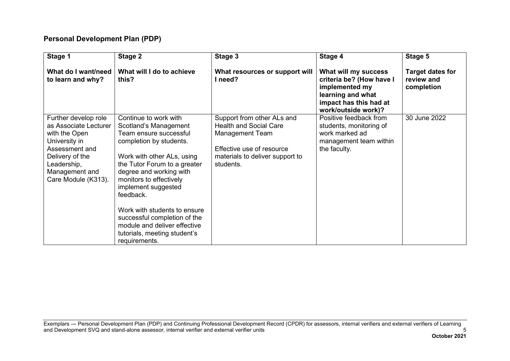| Stage 1                                                                                                                                                                      | Stage 2                                                                                                                                                                                                                                                                                                                                                                                                      | Stage 3                                                                                                                                                            | Stage 4                                                                                                                                  | Stage 5                                             |
|------------------------------------------------------------------------------------------------------------------------------------------------------------------------------|--------------------------------------------------------------------------------------------------------------------------------------------------------------------------------------------------------------------------------------------------------------------------------------------------------------------------------------------------------------------------------------------------------------|--------------------------------------------------------------------------------------------------------------------------------------------------------------------|------------------------------------------------------------------------------------------------------------------------------------------|-----------------------------------------------------|
| What do I want/need<br>to learn and why?                                                                                                                                     | What will I do to achieve<br>this?                                                                                                                                                                                                                                                                                                                                                                           | What resources or support will<br>I need?                                                                                                                          | What will my success<br>criteria be? (How have I<br>implemented my<br>learning and what<br>impact has this had at<br>work/outside work)? | <b>Target dates for</b><br>review and<br>completion |
| Further develop role<br>as Associate Lecturer<br>with the Open<br>University in<br>Assessment and<br>Delivery of the<br>Leadership,<br>Management and<br>Care Module (K313). | Continue to work with<br>Scotland's Management<br>Team ensure successful<br>completion by students.<br>Work with other ALs, using<br>the Tutor Forum to a greater<br>degree and working with<br>monitors to effectively<br>implement suggested<br>feedback.<br>Work with students to ensure<br>successful completion of the<br>module and deliver effective<br>tutorials, meeting student's<br>requirements. | Support from other ALs and<br><b>Health and Social Care</b><br><b>Management Team</b><br>Effective use of resource<br>materials to deliver support to<br>students. | Positive feedback from<br>students, monitoring of<br>work marked ad<br>management team within<br>the faculty.                            | 30 June 2022                                        |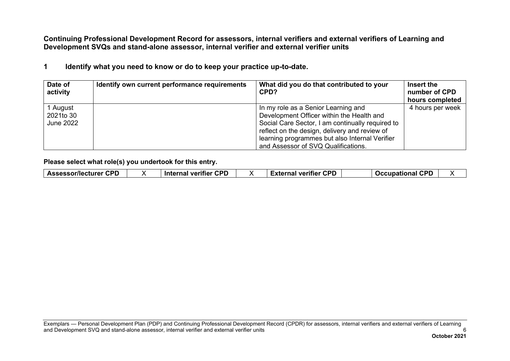**Continuing Professional Development Record for assessors, internal verifiers and external verifiers of Learning and Development SVQs and stand-alone assessor, internal verifier and external verifier units**

**1 Identify what you need to know or do to keep your practice up-to-date.**

| Date of<br>activity                       | Identify own current performance requirements | What did you do that contributed to your<br>CPD?                                                                                                                                                                                                                               | Insert the<br>number of CPD<br>hours completed |
|-------------------------------------------|-----------------------------------------------|--------------------------------------------------------------------------------------------------------------------------------------------------------------------------------------------------------------------------------------------------------------------------------|------------------------------------------------|
| 1 August<br>2021to 30<br><b>June 2022</b> |                                               | In my role as a Senior Learning and<br>Development Officer within the Health and<br>Social Care Sector, I am continually required to<br>reflect on the design, delivery and review of<br>learning programmes but also Internal Verifier<br>and Assessor of SVQ Qualifications. | 4 hours per week                               |

**Please select what role(s) you undertook for this entry.**

| <b>CPD</b><br><b>CPD</b><br>$\cap$<br>CDF<br><b>Assessor/lecturer</b><br><b>Occupational</b><br>veritier<br>-vtorne'<br>veritier<br>Inte<br>.xter<br>лна<br>$\bullet$<br>наг<br>$\cdots$ |
|------------------------------------------------------------------------------------------------------------------------------------------------------------------------------------------|
|------------------------------------------------------------------------------------------------------------------------------------------------------------------------------------------|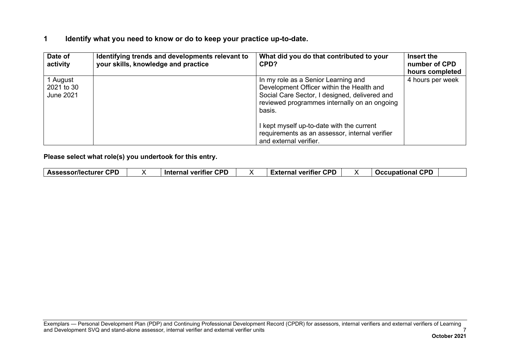#### **1 Identify what you need to know or do to keep your practice up-to-date.**

| Date of<br>activity                 | Identifying trends and developments relevant to<br>your skills, knowledge and practice | What did you do that contributed to your<br>CPD?                                                                                                                                            | Insert the<br>number of CPD<br>hours completed |
|-------------------------------------|----------------------------------------------------------------------------------------|---------------------------------------------------------------------------------------------------------------------------------------------------------------------------------------------|------------------------------------------------|
| 1 August<br>2021 to 30<br>June 2021 |                                                                                        | In my role as a Senior Learning and<br>Development Officer within the Health and<br>Social Care Sector, I designed, delivered and<br>reviewed programmes internally on an ongoing<br>basis. | 4 hours per week                               |
|                                     |                                                                                        | I kept myself up-to-date with the current<br>requirements as an assessor, internal verifier<br>and external verifier.                                                                       |                                                |

**Please select what role(s) you undertook for this entry.**

| <b>CPD</b><br>ron<br>CPD<br>сог<br>Assessor/lecturer<br><b>Internal verifier</b><br><b>veritier</b><br>1.7777<br><b>BAALLAALLAA</b><br>.<br>шаг<br>. |
|------------------------------------------------------------------------------------------------------------------------------------------------------|
|------------------------------------------------------------------------------------------------------------------------------------------------------|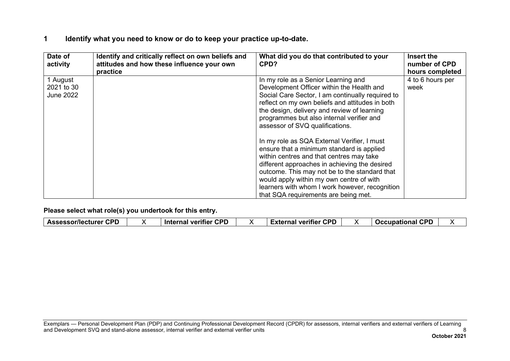#### **1 Identify what you need to know or do to keep your practice up-to-date.**

| Date of<br>activity                        | Identify and critically reflect on own beliefs and<br>attitudes and how these influence your own<br>practice | What did you do that contributed to your<br>CPD?                                                                                                                                                                                                                                                                                                                                                                                                                                                                                                                                                                                                                                                       | Insert the<br>number of CPD<br>hours completed |
|--------------------------------------------|--------------------------------------------------------------------------------------------------------------|--------------------------------------------------------------------------------------------------------------------------------------------------------------------------------------------------------------------------------------------------------------------------------------------------------------------------------------------------------------------------------------------------------------------------------------------------------------------------------------------------------------------------------------------------------------------------------------------------------------------------------------------------------------------------------------------------------|------------------------------------------------|
| 1 August<br>2021 to 30<br><b>June 2022</b> |                                                                                                              | In my role as a Senior Learning and<br>Development Officer within the Health and<br>Social Care Sector, I am continually required to<br>reflect on my own beliefs and attitudes in both<br>the design, delivery and review of learning<br>programmes but also internal verifier and<br>assessor of SVQ qualifications.<br>In my role as SQA External Verifier, I must<br>ensure that a minimum standard is applied<br>within centres and that centres may take<br>different approaches in achieving the desired<br>outcome. This may not be to the standard that<br>would apply within my own centre of with<br>learners with whom I work however, recognition<br>that SQA requirements are being met. | 4 to 6 hours per<br>week                       |

|  | <b>Assessor/lecturer CPD</b> |  | <b>CPD</b><br><b>Internal verifier</b> |  | <b>CPD</b><br><i>∃</i> xternal verifier ∶<br>=xle<br>на |  | CDF<br><b>Occupational</b> |  |
|--|------------------------------|--|----------------------------------------|--|---------------------------------------------------------|--|----------------------------|--|
|--|------------------------------|--|----------------------------------------|--|---------------------------------------------------------|--|----------------------------|--|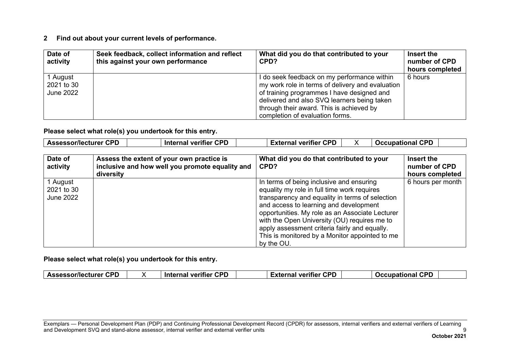| Date of<br>activity                        | Seek feedback, collect information and reflect<br>this against your own performance | What did you do that contributed to your<br>CPD?                                                                                                                                                                                         | Insert the<br>number of CPD<br>hours completed |
|--------------------------------------------|-------------------------------------------------------------------------------------|------------------------------------------------------------------------------------------------------------------------------------------------------------------------------------------------------------------------------------------|------------------------------------------------|
| 1 August<br>2021 to 30<br><b>June 2022</b> |                                                                                     | I do seek feedback on my performance within<br>my work role in terms of delivery and evaluation<br>of training programmes I have designed and<br>delivered and also SVQ learners being taken<br>through their award. This is achieved by | 6 hours                                        |
|                                            |                                                                                     | completion of evaluation forms.                                                                                                                                                                                                          |                                                |

**Please select what role(s) you undertook for this entry.**

| Date of<br>activity                        | Assess the extent of your own practice is<br>inclusive and how well you promote equality and<br>diversity | What did you do that contributed to your<br>CPD?                                                                                                                                                                                                                                                                                                                                                         | Insert the<br>number of CPD<br>hours completed |
|--------------------------------------------|-----------------------------------------------------------------------------------------------------------|----------------------------------------------------------------------------------------------------------------------------------------------------------------------------------------------------------------------------------------------------------------------------------------------------------------------------------------------------------------------------------------------------------|------------------------------------------------|
| 1 August<br>2021 to 30<br><b>June 2022</b> |                                                                                                           | In terms of being inclusive and ensuring<br>equality my role in full time work requires<br>transparency and equality in terms of selection<br>and access to learning and development<br>opportunities. My role as an Associate Lecturer<br>with the Open University (OU) requires me to<br>apply assessment criteria fairly and equally.<br>This is monitored by a Monitor appointed to me<br>by the OU. | 6 hours per month                              |

**Please select what role(s) you undertook for this entry.**

| <b>CPD</b><br>verifier CPD<br><b>CPD</b><br>Assessor/lecturer CPD<br><b>Occupational</b><br>.<br>arnal veritier<br>$-$<br><b>inte</b><br>ша. |
|----------------------------------------------------------------------------------------------------------------------------------------------|
|----------------------------------------------------------------------------------------------------------------------------------------------|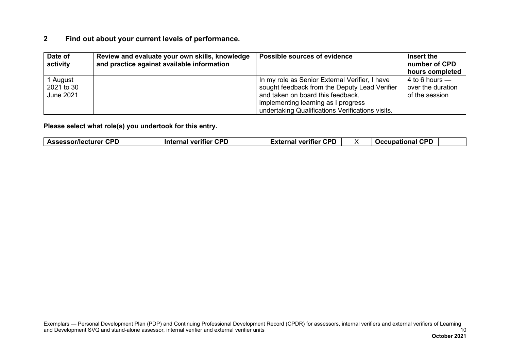| Date of<br>activity                 | Review and evaluate your own skills, knowledge<br>and practice against available information | Possible sources of evidence                                                                                                                                                                                                    | Insert the<br>number of CPD<br>hours completed          |
|-------------------------------------|----------------------------------------------------------------------------------------------|---------------------------------------------------------------------------------------------------------------------------------------------------------------------------------------------------------------------------------|---------------------------------------------------------|
| 1 August<br>2021 to 30<br>June 2021 |                                                                                              | In my role as Senior External Verifier, I have<br>sought feedback from the Deputy Lead Verifier<br>and taken on board this feedback,<br>implementing learning as I progress<br>undertaking Qualifications Verifications visits. | 4 to 6 hours $-$<br>over the duration<br>of the session |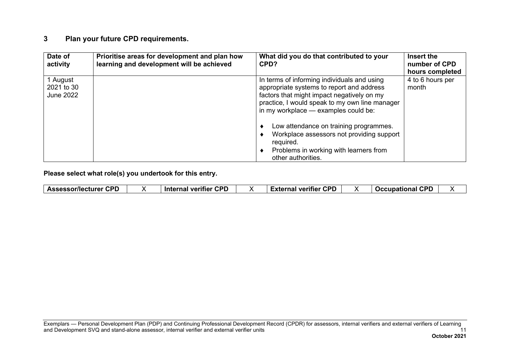#### **3 Plan your future CPD requirements.**

| Date of<br>activity                        | Prioritise areas for development and plan how<br>learning and development will be achieved | What did you do that contributed to your<br>CPD?                                                                                                                                                                                 | Insert the<br>number of CPD<br>hours completed |
|--------------------------------------------|--------------------------------------------------------------------------------------------|----------------------------------------------------------------------------------------------------------------------------------------------------------------------------------------------------------------------------------|------------------------------------------------|
| 1 August<br>2021 to 30<br><b>June 2022</b> |                                                                                            | In terms of informing individuals and using<br>appropriate systems to report and address<br>factors that might impact negatively on my<br>practice, I would speak to my own line manager<br>in my workplace - examples could be: | 4 to 6 hours per<br>month                      |
|                                            |                                                                                            | Low attendance on training programmes.<br>Workplace assessors not providing support<br>required.<br>Problems in working with learners from<br>other authorities.                                                                 |                                                |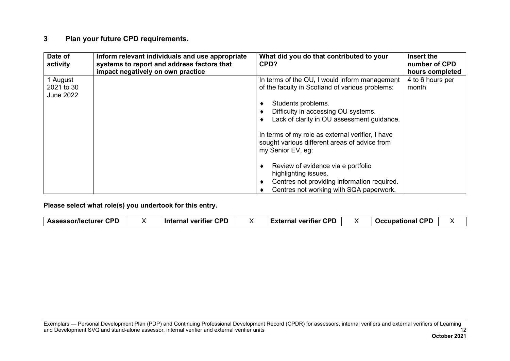#### **3 Plan your future CPD requirements.**

| Date of<br>activity                        | Inform relevant individuals and use appropriate<br>systems to report and address factors that<br>impact negatively on own practice | What did you do that contributed to your<br>CPD?                                                                                                                                                            | Insert the<br>number of CPD<br>hours completed |
|--------------------------------------------|------------------------------------------------------------------------------------------------------------------------------------|-------------------------------------------------------------------------------------------------------------------------------------------------------------------------------------------------------------|------------------------------------------------|
| 1 August<br>2021 to 30<br><b>June 2022</b> |                                                                                                                                    | In terms of the OU, I would inform management<br>of the faculty in Scotland of various problems:<br>Students problems.<br>Difficulty in accessing OU systems.<br>Lack of clarity in OU assessment guidance. | 4 to 6 hours per<br>month                      |
|                                            |                                                                                                                                    | In terms of my role as external verifier, I have<br>sought various different areas of advice from<br>my Senior EV, eg:                                                                                      |                                                |
|                                            |                                                                                                                                    | Review of evidence via e portfolio<br>highlighting issues.<br>Centres not providing information required.<br>Centres not working with SQA paperwork.                                                        |                                                |

|  | <b>CDF</b><br>:nr/lar<br>ecturer<br><b>Assess</b><br>uг |  | rnr<br>--<br>⊟ Intern<br>. Vor $\cdot$<br>. Itier<br>'' на |  | CPD<br>.<br>$\lambda$<br>.<br>-A LG<br>. |  | con<br>acc.<br>.<br>.<br>. |  |
|--|---------------------------------------------------------|--|------------------------------------------------------------|--|------------------------------------------|--|----------------------------|--|
|--|---------------------------------------------------------|--|------------------------------------------------------------|--|------------------------------------------|--|----------------------------|--|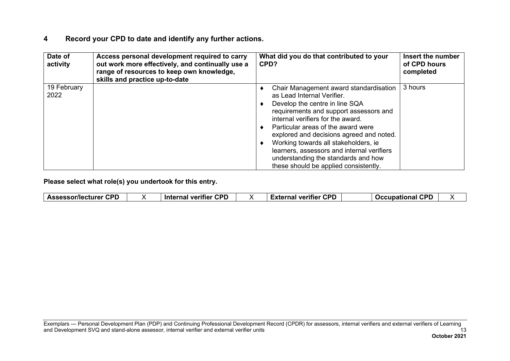| Date of<br>activity | Access personal development required to carry<br>out work more effectively, and continually use a<br>range of resources to keep own knowledge,<br>skills and practice up-to-date | What did you do that contributed to your<br>CPD?                                                                                                                                                                                                                                                                                                                                                                                              | Insert the number<br>of CPD hours<br>completed |
|---------------------|----------------------------------------------------------------------------------------------------------------------------------------------------------------------------------|-----------------------------------------------------------------------------------------------------------------------------------------------------------------------------------------------------------------------------------------------------------------------------------------------------------------------------------------------------------------------------------------------------------------------------------------------|------------------------------------------------|
| 19 February<br>2022 |                                                                                                                                                                                  | Chair Management award standardisation<br>as Lead Internal Verifier.<br>Develop the centre in line SQA<br>requirements and support assessors and<br>internal verifiers for the award.<br>Particular areas of the award were<br>explored and decisions agreed and noted.<br>Working towards all stakeholders, ie<br>learners, assessors and internal verifiers<br>understanding the standards and how<br>these should be applied consistently. | 3 hours                                        |

| .<br>.<br>$\cdot$ | CDC<br><b>Assessor/lecturer</b> |  | <b>CPD</b><br>- --<br>Internal verifier |  | con<br>External verifier |  | спг<br>Occupational |  |
|-------------------|---------------------------------|--|-----------------------------------------|--|--------------------------|--|---------------------|--|
|-------------------|---------------------------------|--|-----------------------------------------|--|--------------------------|--|---------------------|--|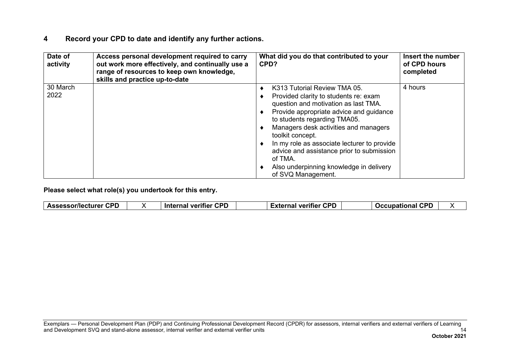| Date of<br>activity | Access personal development required to carry<br>out work more effectively, and continually use a<br>range of resources to keep own knowledge,<br>skills and practice up-to-date | What did you do that contributed to your<br>CPD?                                                                                                                                                                                                                                                                                                                                                                              | Insert the number<br>of CPD hours<br>completed |
|---------------------|----------------------------------------------------------------------------------------------------------------------------------------------------------------------------------|-------------------------------------------------------------------------------------------------------------------------------------------------------------------------------------------------------------------------------------------------------------------------------------------------------------------------------------------------------------------------------------------------------------------------------|------------------------------------------------|
| 30 March<br>2022    |                                                                                                                                                                                  | K313 Tutorial Review TMA 05.<br>Provided clarity to students re: exam<br>question and motivation as last TMA.<br>Provide appropriate advice and guidance<br>to students regarding TMA05.<br>Managers desk activities and managers<br>toolkit concept.<br>In my role as associate lecturer to provide<br>advice and assistance prior to submission<br>of TMA.<br>Also underpinning knowledge in delivery<br>of SVQ Management. | 4 hours                                        |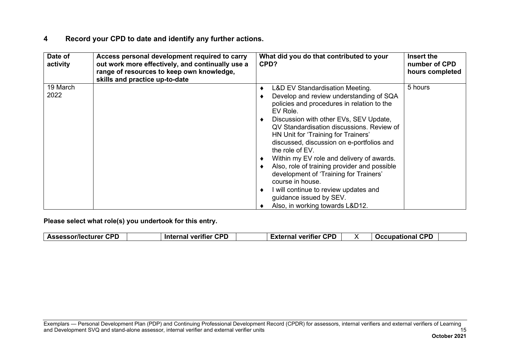| Date of<br>activity | Access personal development required to carry<br>out work more effectively, and continually use a<br>range of resources to keep own knowledge,<br>skills and practice up-to-date | What did you do that contributed to your<br>CPD?                                                                                                                                                                                                                                                                                                                                                                                                                                                                                                                                                     | Insert the<br>number of CPD<br>hours completed |
|---------------------|----------------------------------------------------------------------------------------------------------------------------------------------------------------------------------|------------------------------------------------------------------------------------------------------------------------------------------------------------------------------------------------------------------------------------------------------------------------------------------------------------------------------------------------------------------------------------------------------------------------------------------------------------------------------------------------------------------------------------------------------------------------------------------------------|------------------------------------------------|
| 19 March<br>2022    |                                                                                                                                                                                  | L&D EV Standardisation Meeting.<br>Develop and review understanding of SQA<br>policies and procedures in relation to the<br>EV Role.<br>Discussion with other EVs, SEV Update,<br>QV Standardisation discussions. Review of<br>HN Unit for 'Training for Trainers'<br>discussed, discussion on e-portfolios and<br>the role of EV.<br>Within my EV role and delivery of awards.<br>Also, role of training provider and possible<br>development of 'Training for Trainers'<br>course in house.<br>I will continue to review updates and<br>guidance issued by SEV.<br>Also, in working towards L&D12. | 5 hours                                        |

| <b>Assessor/lecturer CPD</b> |  | <b>CPD</b><br>Internal verifier |  | <b>CPD</b><br><b>External verifier</b> |  | con<br><b>Decupational</b><br>. |  |
|------------------------------|--|---------------------------------|--|----------------------------------------|--|---------------------------------|--|
|------------------------------|--|---------------------------------|--|----------------------------------------|--|---------------------------------|--|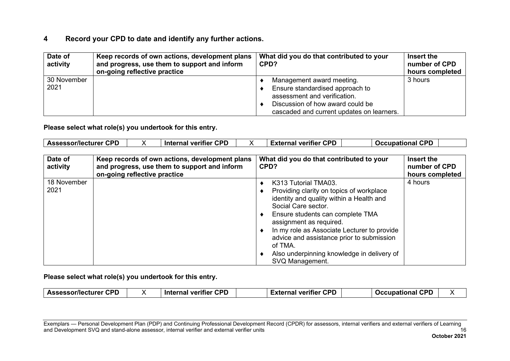| Date of<br>activity | Keep records of own actions, development plans<br>and progress, use them to support and inform<br>on-going reflective practice | What did you do that contributed to your<br>CPD?                                                                                                                              | Insert the<br>number of CPD<br>hours completed |
|---------------------|--------------------------------------------------------------------------------------------------------------------------------|-------------------------------------------------------------------------------------------------------------------------------------------------------------------------------|------------------------------------------------|
| 30 November<br>2021 |                                                                                                                                | Management award meeting.<br>Ensure standardised approach to<br>assessment and verification.<br>Discussion of how award could be<br>cascaded and current updates on learners. | 3 hours                                        |

**Please select what role(s) you undertook for this entry.**

| Date of<br>activity | Keep records of own actions, development plans<br>and progress, use them to support and inform<br>on-going reflective practice | What did you do that contributed to your<br>CPD?                                                                                                                                                                                                                                                                                                                           | Insert the<br>number of CPD<br>hours completed |
|---------------------|--------------------------------------------------------------------------------------------------------------------------------|----------------------------------------------------------------------------------------------------------------------------------------------------------------------------------------------------------------------------------------------------------------------------------------------------------------------------------------------------------------------------|------------------------------------------------|
| 18 November<br>2021 |                                                                                                                                | K313 Tutorial TMA03.<br>Providing clarity on topics of workplace<br>identity and quality within a Health and<br>Social Care sector.<br>Ensure students can complete TMA<br>assignment as required.<br>In my role as Associate Lecturer to provide<br>advice and assistance prior to submission<br>of TMA.<br>Also underpinning knowledge in delivery of<br>SVQ Management. | 4 hours                                        |

**Please select what role(s) you undertook for this entry.**

| -^ | <b>CPD</b><br><b>Assessor/lecturer</b> |  | <b>CPD</b><br>- --<br>Internal<br>veritier |  | <b>CPD</b><br><b>CONTRACTOR</b><br>veritier<br>на |  | CDP<br>$\sim$ cupa $\sim$<br>лын<br>$\bullet$ $\bullet$ $\blacksquare$ |  |
|----|----------------------------------------|--|--------------------------------------------|--|---------------------------------------------------|--|------------------------------------------------------------------------|--|
|----|----------------------------------------|--|--------------------------------------------|--|---------------------------------------------------|--|------------------------------------------------------------------------|--|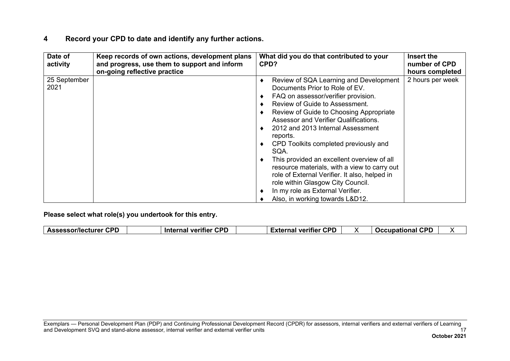| Date of<br>activity  | Keep records of own actions, development plans<br>and progress, use them to support and inform<br>on-going reflective practice | What did you do that contributed to your<br>CPD?                                                                                                                                                                                                                                                                                                                                                                                                                                                                                                                                                   | Insert the<br>number of CPD<br>hours completed |
|----------------------|--------------------------------------------------------------------------------------------------------------------------------|----------------------------------------------------------------------------------------------------------------------------------------------------------------------------------------------------------------------------------------------------------------------------------------------------------------------------------------------------------------------------------------------------------------------------------------------------------------------------------------------------------------------------------------------------------------------------------------------------|------------------------------------------------|
| 25 September<br>2021 |                                                                                                                                | Review of SQA Learning and Development<br>Documents Prior to Role of EV.<br>FAQ on assessor/verifier provision.<br>Review of Guide to Assessment.<br>Review of Guide to Choosing Appropriate<br>Assessor and Verifier Qualifications.<br>2012 and 2013 Internal Assessment<br>reports.<br>CPD Toolkits completed previously and<br>SQA.<br>This provided an excellent overview of all<br>resource materials, with a view to carry out<br>role of External Verifier. It also, helped in<br>role within Glasgow City Council.<br>In my role as External Verifier.<br>Also, in working towards L&D12. | 2 hours per week                               |

| <b>CPD</b><br>Assessor/lecturer ′ | <b>Internal verifier CPD</b> | <b>CPD</b><br>External verifier | <b>CPD</b><br><b>Occupational</b> |  |
|-----------------------------------|------------------------------|---------------------------------|-----------------------------------|--|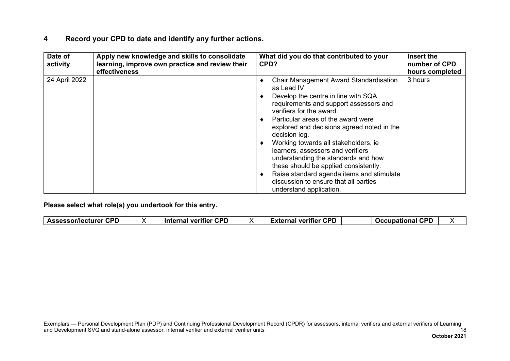| Date of<br>activity | Apply new knowledge and skills to consolidate<br>learning, improve own practice and review their<br>effectiveness | What did you do that contributed to your<br>CPD?                                                                                                                                                                                                                                                                                                                                                                                                                                                                                                             | Insert the<br>number of CPD<br>hours completed |
|---------------------|-------------------------------------------------------------------------------------------------------------------|--------------------------------------------------------------------------------------------------------------------------------------------------------------------------------------------------------------------------------------------------------------------------------------------------------------------------------------------------------------------------------------------------------------------------------------------------------------------------------------------------------------------------------------------------------------|------------------------------------------------|
| 24 April 2022       |                                                                                                                   | <b>Chair Management Award Standardisation</b><br>as Lead IV.<br>Develop the centre in line with SQA<br>requirements and support assessors and<br>verifiers for the award.<br>Particular areas of the award were<br>explored and decisions agreed noted in the<br>decision log.<br>Working towards all stakeholders, ie<br>learners, assessors and verifiers<br>understanding the standards and how<br>these should be applied consistently.<br>Raise standard agenda items and stimulate<br>discussion to ensure that all parties<br>understand application. | 3 hours                                        |

|  | ---<br>CDC<br>∴Assessor/lecturer<br>uru |  | CPD<br>veritier<br><b>Internal</b> |  | rdr<br>External verifier<br>. |  | $- -$<br>C.PL<br>Occupational<br>. . |  |
|--|-----------------------------------------|--|------------------------------------|--|-------------------------------|--|--------------------------------------|--|
|--|-----------------------------------------|--|------------------------------------|--|-------------------------------|--|--------------------------------------|--|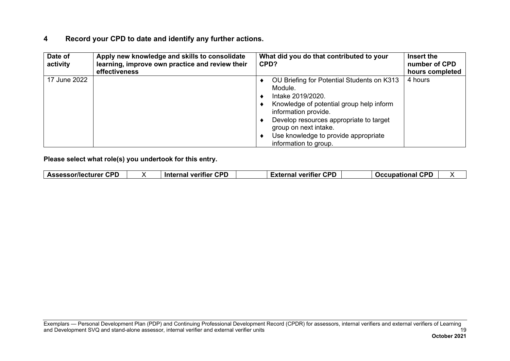| Date of<br>activity | Apply new knowledge and skills to consolidate<br>learning, improve own practice and review their | What did you do that contributed to your<br>CPD?                                                                                                                                                                                                                                    | Insert the<br>number of CPD |
|---------------------|--------------------------------------------------------------------------------------------------|-------------------------------------------------------------------------------------------------------------------------------------------------------------------------------------------------------------------------------------------------------------------------------------|-----------------------------|
|                     | effectiveness                                                                                    |                                                                                                                                                                                                                                                                                     | hours completed             |
| 17 June 2022        |                                                                                                  | OU Briefing for Potential Students on K313<br>Module.<br>Intake 2019/2020.<br>Knowledge of potential group help inform<br>information provide.<br>Develop resources appropriate to target<br>group on next intake.<br>Use knowledge to provide appropriate<br>information to group. | 4 hours                     |

| <b>CPD</b><br>Assessor/lecturer<br>veritier<br><b>Internal</b> | con<br><b>CPD</b><br>⊟xternal<br>∣ veritier<br>. UP | <u>rnr</u><br>Occupational |  |
|----------------------------------------------------------------|-----------------------------------------------------|----------------------------|--|
|----------------------------------------------------------------|-----------------------------------------------------|----------------------------|--|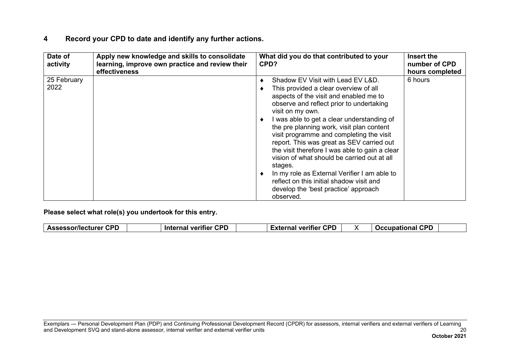| Date of<br>activity | Apply new knowledge and skills to consolidate<br>learning, improve own practice and review their<br>effectiveness | What did you do that contributed to your<br>CPD?                                                                                                                                                                                                                                                                                                                                                                                                                                                                                                                                                                                      | Insert the<br>number of CPD<br>hours completed |
|---------------------|-------------------------------------------------------------------------------------------------------------------|---------------------------------------------------------------------------------------------------------------------------------------------------------------------------------------------------------------------------------------------------------------------------------------------------------------------------------------------------------------------------------------------------------------------------------------------------------------------------------------------------------------------------------------------------------------------------------------------------------------------------------------|------------------------------------------------|
| 25 February<br>2022 |                                                                                                                   | Shadow EV Visit with Lead EV L&D.<br>This provided a clear overview of all<br>aspects of the visit and enabled me to<br>observe and reflect prior to undertaking<br>visit on my own.<br>I was able to get a clear understanding of<br>the pre planning work, visit plan content<br>visit programme and completing the visit<br>report. This was great as SEV carried out<br>the visit therefore I was able to gain a clear<br>vision of what should be carried out at all<br>stages.<br>In my role as External Verifier I am able to<br>reflect on this initial shadow visit and<br>develop the 'best practice' approach<br>observed. | 6 hours                                        |

| r CPD<br><b>Assessor/lecturer</b> | <b>CPD</b><br><b>Internal verifier</b> | <b>CPD</b><br>≓vtornal<br>veritier<br>наг<br>ו טוא. |  | CDF<br><b>Occupational</b><br>$\cdots$ |  |
|-----------------------------------|----------------------------------------|-----------------------------------------------------|--|----------------------------------------|--|
|-----------------------------------|----------------------------------------|-----------------------------------------------------|--|----------------------------------------|--|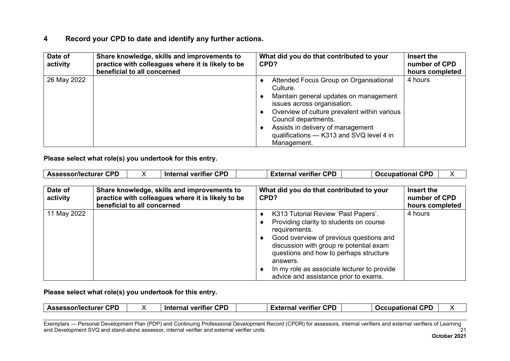| Date of<br>activity | Share knowledge, skills and improvements to<br>practice with colleagues where it is likely to be<br>beneficial to all concerned | What did you do that contributed to your<br>CPD?                                                                                                                                                                                                                                                    | Insert the<br>number of CPD<br>hours completed |
|---------------------|---------------------------------------------------------------------------------------------------------------------------------|-----------------------------------------------------------------------------------------------------------------------------------------------------------------------------------------------------------------------------------------------------------------------------------------------------|------------------------------------------------|
| 26 May 2022         |                                                                                                                                 | Attended Focus Group on Organisational<br>Culture.<br>Maintain general updates on management<br>issues across organisation.<br>Overview of culture prevalent within various<br>Council departments.<br>Assists in delivery of management<br>qualifications - K313 and SVQ level 4 in<br>Management. | 4 hours                                        |

**Please select what role(s) you undertook for this entry.**

| Date of<br>activity | Share knowledge, skills and improvements to<br>practice with colleagues where it is likely to be<br>beneficial to all concerned | What did you do that contributed to your<br>CPD?                                                                                                                                                                                                                                                                                    | Insert the<br>number of CPD<br>hours completed |
|---------------------|---------------------------------------------------------------------------------------------------------------------------------|-------------------------------------------------------------------------------------------------------------------------------------------------------------------------------------------------------------------------------------------------------------------------------------------------------------------------------------|------------------------------------------------|
| 11 May 2022         |                                                                                                                                 | K313 Tutorial Review 'Past Papers'.<br>Providing clarity to students on course<br>requirements.<br>Good overview of previous questions and<br>discussion with group re potential exam<br>questions and how to perhaps structure<br>answers.<br>In my role as associate lecturer to provide<br>advice and assistance prior to exams. | 4 hours                                        |

**Please select what role(s) you undertook for this entry.**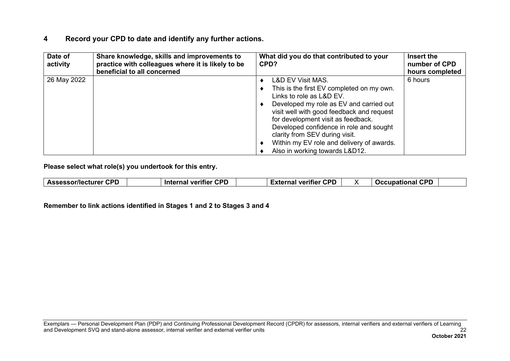| Date of<br>activity | Share knowledge, skills and improvements to<br>practice with colleagues where it is likely to be<br>beneficial to all concerned | What did you do that contributed to your<br>CPD?                                                                                                                                                                                                                                                                                                                                                | Insert the<br>number of CPD<br>hours completed |
|---------------------|---------------------------------------------------------------------------------------------------------------------------------|-------------------------------------------------------------------------------------------------------------------------------------------------------------------------------------------------------------------------------------------------------------------------------------------------------------------------------------------------------------------------------------------------|------------------------------------------------|
| 26 May 2022         |                                                                                                                                 | <b>L&amp;D EV Visit MAS.</b><br>This is the first EV completed on my own.<br>Links to role as L&D EV.<br>Developed my role as EV and carried out<br>visit well with good feedback and request<br>for development visit as feedback.<br>Developed confidence in role and sought<br>clarity from SEV during visit.<br>Within my EV role and delivery of awards.<br>Also in working towards L&D12. | 6 hours                                        |

**Please select what role(s) you undertook for this entry.**

**Remember to link actions identified in Stages 1 and 2 to Stages 3 and 4**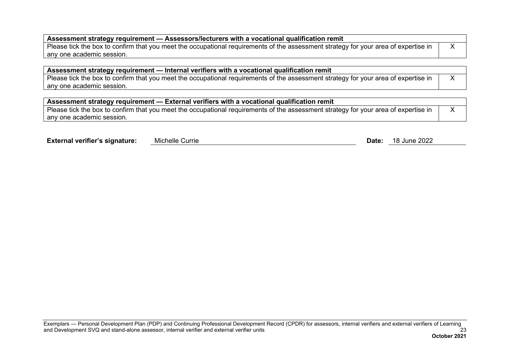| $\mid$ Assessment strategy requirement — Assessors/lecturers with a vocational qualification remit                                  |  |  |  |
|-------------------------------------------------------------------------------------------------------------------------------------|--|--|--|
| Please tick the box to confirm that you meet the occupational requirements of the assessment strategy for your area of expertise in |  |  |  |
| l anv one academic session.                                                                                                         |  |  |  |

| Assessment strategy requirement — Internal verifiers with a vocational qualification remit                                          |  |  |  |
|-------------------------------------------------------------------------------------------------------------------------------------|--|--|--|
| Please tick the box to confirm that you meet the occupational requirements of the assessment strategy for your area of expertise in |  |  |  |
| any one academic session.                                                                                                           |  |  |  |

| Assessment strategy requirement — External verifiers with a vocational qualification remit                                          |  |  |  |
|-------------------------------------------------------------------------------------------------------------------------------------|--|--|--|
| Please tick the box to confirm that you meet the occupational requirements of the assessment strategy for your area of expertise in |  |  |  |
| I anv one academic session.                                                                                                         |  |  |  |

| <b>Michelle Currie</b><br>18 June 2022<br><b>External verifier's signature:</b><br>Date: |  |
|------------------------------------------------------------------------------------------|--|
|------------------------------------------------------------------------------------------|--|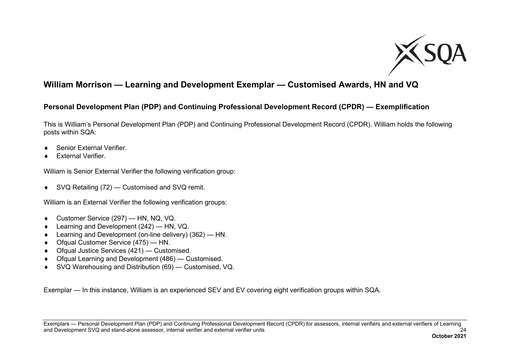

## <span id="page-25-0"></span>**William Morrison — Learning and Development Exemplar — Customised Awards, HN and VQ**

#### **Personal Development Plan (PDP) and Continuing Professional Development Record (CPDR) — Exemplification**

This is William's Personal Development Plan (PDP) and Continuing Professional Development Record (CPDR). William holds the following posts within SQA:

- ♦ Senior External Verifier.
- **External Verifier.**

William is Senior External Verifier the following verification group:

♦ SVQ Retailing (72) — Customised and SVQ remit.

William is an External Verifier the following verification groups:

- ♦ Customer Service (297) HN, NQ, VQ.
- ♦ Learning and Development (242) HN, VQ.
- ♦ Learning and Development (on-line delivery) (362) HN.
- ♦ Ofqual Customer Service (475) HN.
- ♦ Ofqual Justice Services (421) Customised.
- ♦ Ofqual Learning and Development (486) Customised.
- ♦ SVQ Warehousing and Distribution (69) Customised, VQ.

Exemplar — In this instance, William is an experienced SEV and EV covering eight verification groups within SQA.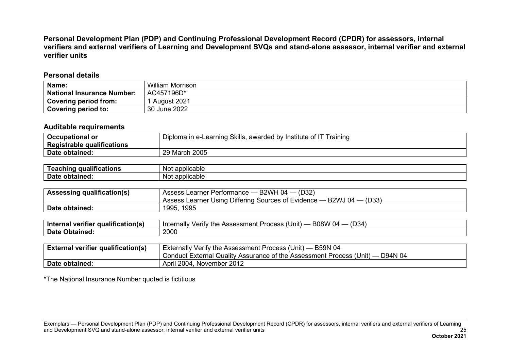**Personal Development Plan (PDP) and Continuing Professional Development Record (CPDR) for assessors, internal verifiers and external verifiers of Learning and Development SVQs and stand-alone assessor, internal verifier and external verifier units**

#### **Personal details**

| Name:                             | William Morrison |
|-----------------------------------|------------------|
| <b>National Insurance Number:</b> | AC457196D*       |
| Covering period from:             | August 2021      |
| Covering period to:               | 30 June 2022     |

#### **Auditable requirements**

| <b>Occupational or</b>     | Diploma in e-Learning Skills, awarded by Institute of IT Training |  |  |
|----------------------------|-------------------------------------------------------------------|--|--|
| Registrable qualifications |                                                                   |  |  |
| Date obtained:             | 29 March 2005                                                     |  |  |

| $\cdots$<br>qualifications<br>eaching<br>- | applicable<br>. Not    |
|--------------------------------------------|------------------------|
| <b>Date</b><br>obtained:                   | applicable<br>Not<br>w |

| <b>Assessing qualification(s)</b> | Assess Learner Performance - B2WH 04 - (D32)                             |  |  |
|-----------------------------------|--------------------------------------------------------------------------|--|--|
|                                   | Assess Learner Using Differing Sources of Evidence $-$ B2WJ 04 $-$ (D33) |  |  |
| Date obtained:                    | 1995, 1995                                                               |  |  |

| - -<br>----<br>`qualification(s)<br><b>Interna</b><br>. veritler<br>наг | (D34)<br>$\cdots$<br>B08W<br>.<br>, Unit) .<br>Internally<br>∵the<br>Assessment .<br>erity/<br><b>Process</b><br>- U4 |
|-------------------------------------------------------------------------|-----------------------------------------------------------------------------------------------------------------------|
| Date<br>Obtained:                                                       | 2000                                                                                                                  |

| <b>External verifier qualification(s)</b> | Externally Verify the Assessment Process (Unit) — B59N 04                     |  |
|-------------------------------------------|-------------------------------------------------------------------------------|--|
|                                           | Conduct External Quality Assurance of the Assessment Process (Unit) — D94N 04 |  |
| Date obtained:                            | April 2004, November 2012                                                     |  |

\*The National Insurance Number quoted is fictitious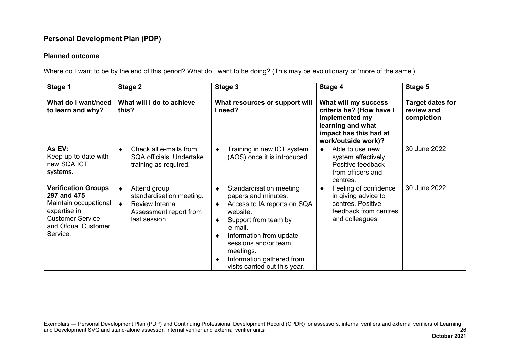#### **Planned outcome**

Where do I want to be by the end of this period? What do I want to be doing? (This may be evolutionary or 'more of the same').

| Stage 1                                                                                                                                          | Stage 2                                                                                                            | Stage 3                                                                                                                                                                                                                                                                        | Stage 4                                                                                                                                  | Stage 5                                             |
|--------------------------------------------------------------------------------------------------------------------------------------------------|--------------------------------------------------------------------------------------------------------------------|--------------------------------------------------------------------------------------------------------------------------------------------------------------------------------------------------------------------------------------------------------------------------------|------------------------------------------------------------------------------------------------------------------------------------------|-----------------------------------------------------|
| What do I want/need<br>to learn and why?                                                                                                         | What will I do to achieve<br>this?                                                                                 | What resources or support will<br>I need?                                                                                                                                                                                                                                      | What will my success<br>criteria be? (How have I<br>implemented my<br>learning and what<br>impact has this had at<br>work/outside work)? | <b>Target dates for</b><br>review and<br>completion |
| As EV:<br>Keep up-to-date with<br>new SQA ICT<br>systems.                                                                                        | Check all e-mails from<br>٠<br>SQA officials. Undertake<br>training as required.                                   | Training in new ICT system<br>٠<br>(AOS) once it is introduced.                                                                                                                                                                                                                | Able to use new<br>system effectively.<br>Positive feedback<br>from officers and<br>centres.                                             | 30 June 2022                                        |
| <b>Verification Groups</b><br>297 and 475<br>Maintain occupational<br>expertise in<br><b>Customer Service</b><br>and Ofqual Customer<br>Service. | Attend group<br>٠<br>standardisation meeting.<br><b>Review Internal</b><br>Assessment report from<br>last session. | Standardisation meeting<br>٠<br>papers and minutes.<br>Access to IA reports on SQA<br>٠<br>website.<br>Support from team by<br>٠<br>e-mail.<br>Information from update<br>sessions and/or team<br>meetings.<br>Information gathered from<br>◀<br>visits carried out this year. | Feeling of confidence<br>٠<br>in giving advice to<br>centres. Positive<br>feedback from centres<br>and colleagues.                       | 30 June 2022                                        |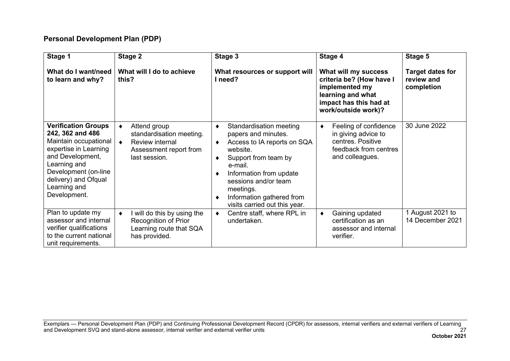| Stage 1                                                                                                                                                                                                              | Stage 2                                                                                                                          | Stage 3                                                                                                                                                                                                                                                                        | Stage 4                                                                                                                                  | Stage 5                                             |
|----------------------------------------------------------------------------------------------------------------------------------------------------------------------------------------------------------------------|----------------------------------------------------------------------------------------------------------------------------------|--------------------------------------------------------------------------------------------------------------------------------------------------------------------------------------------------------------------------------------------------------------------------------|------------------------------------------------------------------------------------------------------------------------------------------|-----------------------------------------------------|
| What do I want/need<br>to learn and why?                                                                                                                                                                             | What will I do to achieve<br>this?                                                                                               | What resources or support will<br>I need?                                                                                                                                                                                                                                      | What will my success<br>criteria be? (How have I<br>implemented my<br>learning and what<br>impact has this had at<br>work/outside work)? | <b>Target dates for</b><br>review and<br>completion |
| <b>Verification Groups</b><br>242, 362 and 486<br>Maintain occupational<br>expertise in Learning<br>and Development,<br>Learning and<br>Development (on-line<br>delivery) and Ofqual<br>Learning and<br>Development. | Attend group<br>$\bullet$<br>standardisation meeting.<br>Review internal<br>$\bullet$<br>Assessment report from<br>last session. | Standardisation meeting<br>٠<br>papers and minutes.<br>Access to IA reports on SQA<br>٠<br>website.<br>Support from team by<br>٠<br>e-mail.<br>Information from update<br>sessions and/or team<br>meetings.<br>Information gathered from<br>٠<br>visits carried out this year. | Feeling of confidence<br>٠<br>in giving advice to<br>centres. Positive<br>feedback from centres<br>and colleagues.                       | 30 June 2022                                        |
| Plan to update my<br>assessor and internal<br>verifier qualifications<br>to the current national<br>unit requirements.                                                                                               | I will do this by using the<br>$\bullet$<br>Recognition of Prior<br>Learning route that SQA<br>has provided.                     | Centre staff, where RPL in<br>٠<br>undertaken.                                                                                                                                                                                                                                 | Gaining updated<br>٠<br>certification as an<br>assessor and internal<br>verifier.                                                        | 1 August 2021 to<br>14 December 2021                |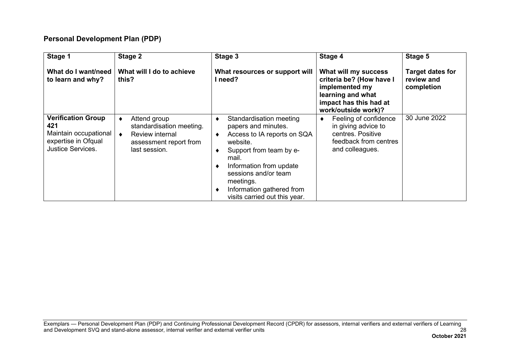| Stage 1                                                                                                      | Stage 2                                                                                                     | Stage 3                                                                                                                                                                                                                                                     | Stage 4                                                                                                                                  | Stage 5                                             |
|--------------------------------------------------------------------------------------------------------------|-------------------------------------------------------------------------------------------------------------|-------------------------------------------------------------------------------------------------------------------------------------------------------------------------------------------------------------------------------------------------------------|------------------------------------------------------------------------------------------------------------------------------------------|-----------------------------------------------------|
| What do I want/need<br>to learn and why?                                                                     | What will I do to achieve<br>this?                                                                          | What resources or support will<br>l need?                                                                                                                                                                                                                   | What will my success<br>criteria be? (How have I<br>implemented my<br>learning and what<br>impact has this had at<br>work/outside work)? | <b>Target dates for</b><br>review and<br>completion |
| <b>Verification Group</b><br>421<br>Maintain occupational<br>expertise in Ofqual<br><b>Justice Services.</b> | Attend group<br>٠<br>standardisation meeting.<br>Review internal<br>assessment report from<br>last session. | Standardisation meeting<br>papers and minutes.<br>Access to IA reports on SQA<br>website.<br>Support from team by e-<br>mail.<br>Information from update<br>sessions and/or team<br>meetings.<br>Information gathered from<br>visits carried out this year. | Feeling of confidence<br>٠<br>in giving advice to<br>centres. Positive<br>feedback from centres<br>and colleagues.                       | 30 June 2022                                        |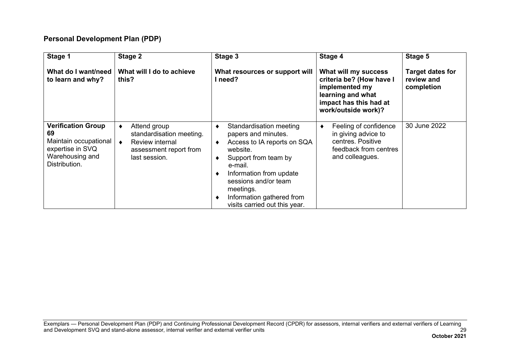| Stage 1<br>What do I want/need<br>to learn and why?                                                              | Stage 2<br>What will I do to achieve<br>this?                                                                 | Stage 3<br>What resources or support will<br>I need?                                                                                                                                                                                                       | Stage 4<br>What will my success<br>criteria be? (How have I                                                        | Stage 5<br><b>Target dates for</b><br>review and |
|------------------------------------------------------------------------------------------------------------------|---------------------------------------------------------------------------------------------------------------|------------------------------------------------------------------------------------------------------------------------------------------------------------------------------------------------------------------------------------------------------------|--------------------------------------------------------------------------------------------------------------------|--------------------------------------------------|
|                                                                                                                  |                                                                                                               |                                                                                                                                                                                                                                                            | implemented my<br>learning and what<br>impact has this had at<br>work/outside work)?                               | completion                                       |
| <b>Verification Group</b><br>69<br>Maintain occupational<br>expertise in SVQ<br>Warehousing and<br>Distribution. | Attend group<br>standardisation meeting.<br><b>Review internal</b><br>assessment report from<br>last session. | Standardisation meeting<br>papers and minutes.<br>Access to IA reports on SQA<br>website.<br>Support from team by<br>e-mail.<br>Information from update<br>sessions and/or team<br>meetings.<br>Information gathered from<br>visits carried out this year. | Feeling of confidence<br>٠<br>in giving advice to<br>centres. Positive<br>feedback from centres<br>and colleagues. | 30 June 2022                                     |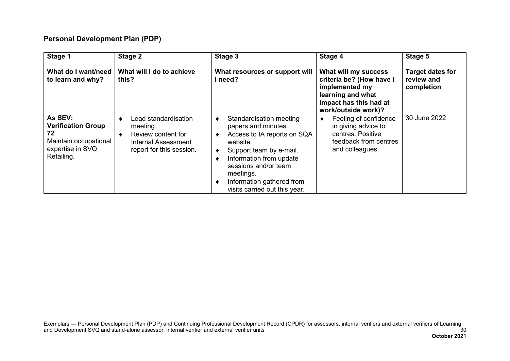| Stage 1                                                                                               | Stage 2                                                                                                        | Stage 3                                                                                                                                                                                                                                            | Stage 4                                                                                                                                  | Stage 5                                             |
|-------------------------------------------------------------------------------------------------------|----------------------------------------------------------------------------------------------------------------|----------------------------------------------------------------------------------------------------------------------------------------------------------------------------------------------------------------------------------------------------|------------------------------------------------------------------------------------------------------------------------------------------|-----------------------------------------------------|
| What do I want/need<br>to learn and why?                                                              | What will I do to achieve<br>this?                                                                             | What resources or support will<br>need?                                                                                                                                                                                                            | What will my success<br>criteria be? (How have I<br>implemented my<br>learning and what<br>impact has this had at<br>work/outside work)? | <b>Target dates for</b><br>review and<br>completion |
| As SEV:<br><b>Verification Group</b><br>72<br>Maintain occupational<br>expertise in SVQ<br>Retailing. | Lead standardisation<br>∢<br>meeting.<br>Review content for<br>Internal Assessment<br>report for this session. | Standardisation meeting<br>papers and minutes.<br>Access to IA reports on SQA<br>website.<br>Support team by e-mail.<br>Information from update<br>sessions and/or team<br>meetings.<br>Information gathered from<br>visits carried out this year. | Feeling of confidence<br>٠<br>in giving advice to<br>centres. Positive<br>feedback from centres<br>and colleagues.                       | 30 June 2022                                        |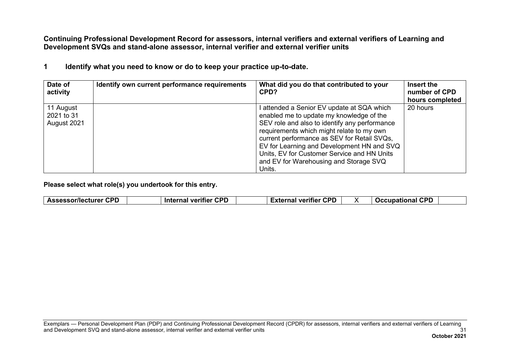**Continuing Professional Development Record for assessors, internal verifiers and external verifiers of Learning and Development SVQs and stand-alone assessor, internal verifier and external verifier units**

|  |  |  |  |  | Identify what you need to know or do to keep your practice up-to-date. |
|--|--|--|--|--|------------------------------------------------------------------------|
|--|--|--|--|--|------------------------------------------------------------------------|

| Date of<br>activity                    | Identify own current performance requirements | What did you do that contributed to your<br>CPD?                                                                                                                                                                                                                                                                                                                                     | Insert the<br>number of CPD<br>hours completed |
|----------------------------------------|-----------------------------------------------|--------------------------------------------------------------------------------------------------------------------------------------------------------------------------------------------------------------------------------------------------------------------------------------------------------------------------------------------------------------------------------------|------------------------------------------------|
| 11 August<br>2021 to 31<br>August 2021 |                                               | l attended a Senior EV update at SQA which<br>enabled me to update my knowledge of the<br>SEV role and also to identify any performance<br>requirements which might relate to my own<br>current performance as SEV for Retail SVQs,<br>EV for Learning and Development HN and SVQ<br>Units, EV for Customer Service and HN Units<br>and EV for Warehousing and Storage SVQ<br>Units. | 20 hours                                       |

|  | con<br>$-$<br><b>IMAL</b><br>Ac'<br>83<br>.<br>. . | CDD<br>--- | ron<br>-----<br>-----<br>---<br>.<br>. . |  | $\sim$ nn |  |
|--|----------------------------------------------------|------------|------------------------------------------|--|-----------|--|
|--|----------------------------------------------------|------------|------------------------------------------|--|-----------|--|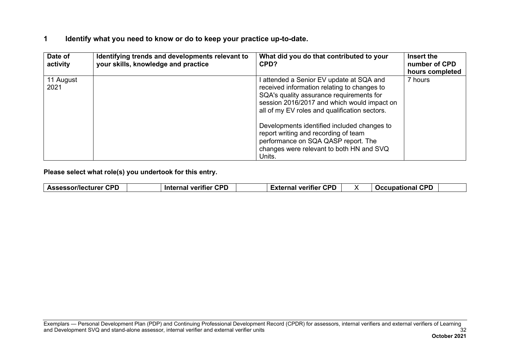#### **1 Identify what you need to know or do to keep your practice up-to-date.**

| Date of<br>activity | Identifying trends and developments relevant to<br>your skills, knowledge and practice | What did you do that contributed to your<br>CPD?                                                                                                                                                                                    | Insert the<br>number of CPD<br>hours completed |
|---------------------|----------------------------------------------------------------------------------------|-------------------------------------------------------------------------------------------------------------------------------------------------------------------------------------------------------------------------------------|------------------------------------------------|
| 11 August<br>2021   |                                                                                        | l attended a Senior EV update at SQA and<br>received information relating to changes to<br>SQA's quality assurance requirements for<br>session 2016/2017 and which would impact on<br>all of my EV roles and qualification sectors. | 7 hours                                        |
|                     |                                                                                        | Developments identified included changes to<br>report writing and recording of team<br>performance on SQA QASP report. The<br>changes were relevant to both HN and SVQ<br>Units.                                                    |                                                |

| <b>CPD</b><br>$\overline{C}$<br><b>CDP</b><br><b>CDF</b><br>. .<br>cturer.<br><b>Interna</b><br>-----<br>≅or/lectu.<br>------<br>veritier<br>. ıtier<br>. Jeeur<br><b>Assess</b><br>VC<br>wг<br><br>$-$ |
|---------------------------------------------------------------------------------------------------------------------------------------------------------------------------------------------------------|
|---------------------------------------------------------------------------------------------------------------------------------------------------------------------------------------------------------|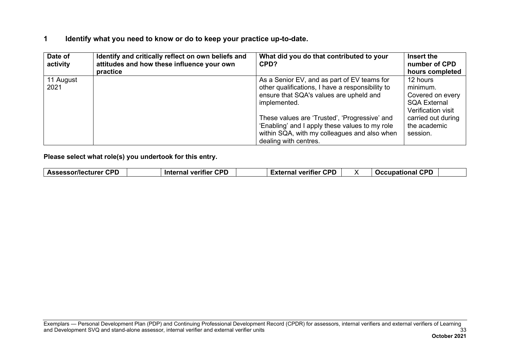#### **1 Identify what you need to know or do to keep your practice up-to-date.**

| Date of<br>activity | Identify and critically reflect on own beliefs and<br>attitudes and how these influence your own<br>practice | What did you do that contributed to your<br>CPD?                                                                                                                                                                                                                                                                                       | Insert the<br>number of CPD<br>hours completed                                                                                          |
|---------------------|--------------------------------------------------------------------------------------------------------------|----------------------------------------------------------------------------------------------------------------------------------------------------------------------------------------------------------------------------------------------------------------------------------------------------------------------------------------|-----------------------------------------------------------------------------------------------------------------------------------------|
| 11 August<br>2021   |                                                                                                              | As a Senior EV, and as part of EV teams for<br>other qualifications, I have a responsibility to<br>ensure that SQA's values are upheld and<br>implemented.<br>These values are 'Trusted', 'Progressive' and<br>'Enabling' and I apply these values to my role<br>within SQA, with my colleagues and also when<br>dealing with centres. | 12 hours<br>minimum.<br>Covered on every<br><b>SQA External</b><br>Verification visit<br>carried out during<br>the academic<br>session. |

| <b>CDF</b><br>Accaccar/lacturar<br><b>Inter</b><br>SUMELLUIE.<br>. | rdr<br>veritier<br>-----<br>VΔ<br>rna | CDC<br>$-$<br>. veritier<br>$\mathbf{v}$<br>$\cdot$ |  | rdr<br><b>TAAUBARABAL</b> |
|--------------------------------------------------------------------|---------------------------------------|-----------------------------------------------------|--|---------------------------|
|--------------------------------------------------------------------|---------------------------------------|-----------------------------------------------------|--|---------------------------|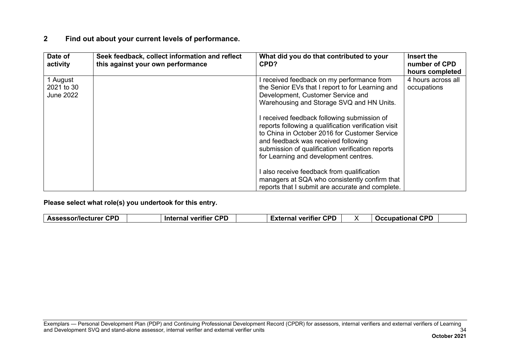| Date of<br>activity    | Seek feedback, collect information and reflect<br>this against your own performance | What did you do that contributed to your<br>CPD?                                                                                                                                                                                                                                         | Insert the<br>number of CPD<br>hours completed |
|------------------------|-------------------------------------------------------------------------------------|------------------------------------------------------------------------------------------------------------------------------------------------------------------------------------------------------------------------------------------------------------------------------------------|------------------------------------------------|
| 1 August<br>2021 to 30 |                                                                                     | I received feedback on my performance from<br>the Senior EVs that I report to for Learning and                                                                                                                                                                                           | 4 hours across all<br>occupations              |
| <b>June 2022</b>       |                                                                                     | Development, Customer Service and<br>Warehousing and Storage SVQ and HN Units.                                                                                                                                                                                                           |                                                |
|                        |                                                                                     | I received feedback following submission of<br>reports following a qualification verification visit<br>to China in October 2016 for Customer Service<br>and feedback was received following<br>submission of qualification verification reports<br>for Learning and development centres. |                                                |
|                        |                                                                                     | I also receive feedback from qualification<br>managers at SQA who consistently confirm that<br>reports that I submit are accurate and complete.                                                                                                                                          |                                                |

|  | ---<br>∙пг<br><b>Assessor/lecturer</b><br>. . | ron<br>- --<br><b>Internal</b><br>veritier | <b>CPP</b><br>---<br>. <del>.</del><br>veritier<br>. . |  | CPD<br>.<br><b>COCCUDATIL</b><br>опы<br>. . |  |
|--|-----------------------------------------------|--------------------------------------------|--------------------------------------------------------|--|---------------------------------------------|--|
|--|-----------------------------------------------|--------------------------------------------|--------------------------------------------------------|--|---------------------------------------------|--|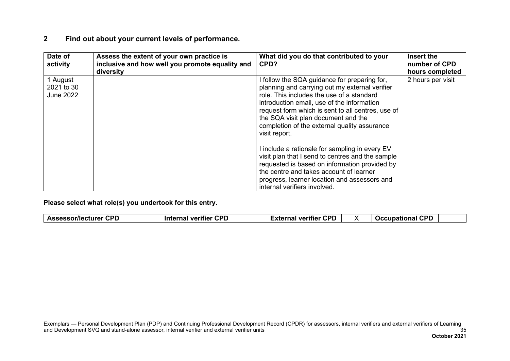| Date of<br>activity                        | Assess the extent of your own practice is<br>inclusive and how well you promote equality and<br>diversity | What did you do that contributed to your<br>CPD?                                                                                                                                                                                                                                                                                                       | Insert the<br>number of CPD<br>hours completed |
|--------------------------------------------|-----------------------------------------------------------------------------------------------------------|--------------------------------------------------------------------------------------------------------------------------------------------------------------------------------------------------------------------------------------------------------------------------------------------------------------------------------------------------------|------------------------------------------------|
| 1 August<br>2021 to 30<br><b>June 2022</b> |                                                                                                           | I follow the SQA guidance for preparing for,<br>planning and carrying out my external verifier<br>role. This includes the use of a standard<br>introduction email, use of the information<br>request form which is sent to all centres, use of<br>the SQA visit plan document and the<br>completion of the external quality assurance<br>visit report. | 2 hours per visit                              |
|                                            |                                                                                                           | I include a rationale for sampling in every EV<br>visit plan that I send to centres and the sample<br>requested is based on information provided by<br>the centre and takes account of learner<br>progress, learner location and assessors and<br>internal verifiers involved.                                                                         |                                                |

|  | ---<br>∙пг<br><b>Assessor/lecturer</b><br>. . | ron<br>- --<br><b>Internal</b><br>veritier | <b>CPP</b><br>---<br>. <del>.</del><br>veritier<br>. . |  | CPD<br>.<br><b>COCCUDATIL</b><br>опы<br>. . |  |
|--|-----------------------------------------------|--------------------------------------------|--------------------------------------------------------|--|---------------------------------------------|--|
|--|-----------------------------------------------|--------------------------------------------|--------------------------------------------------------|--|---------------------------------------------|--|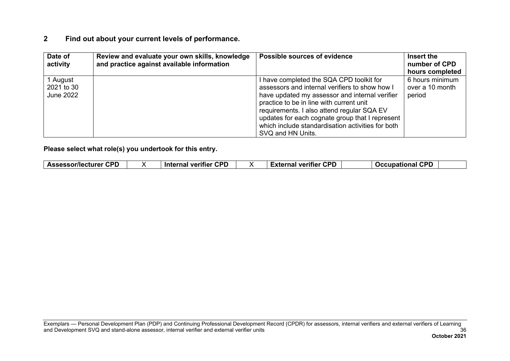| Date of<br>activity | Review and evaluate your own skills, knowledge<br>and practice against available information | Possible sources of evidence                      | Insert the<br>number of CPD |
|---------------------|----------------------------------------------------------------------------------------------|---------------------------------------------------|-----------------------------|
|                     |                                                                                              |                                                   | hours completed             |
| 1 August            |                                                                                              | I have completed the SQA CPD toolkit for          | 6 hours minimum             |
| 2021 to 30          |                                                                                              | assessors and internal verifiers to show how I    | over a 10 month             |
| June 2022           |                                                                                              | have updated my assessor and internal verifier    | period                      |
|                     |                                                                                              | practice to be in line with current unit          |                             |
|                     |                                                                                              | requirements. I also attend regular SQA EV        |                             |
|                     |                                                                                              | updates for each cognate group that I represent   |                             |
|                     |                                                                                              | which include standardisation activities for both |                             |
|                     |                                                                                              | SVQ and HN Units.                                 |                             |

| Assessor/lecturer<br><b>External verifier</b><br>Internal verifier<br>лыан<br>. | <b>CPD</b><br><b>CPD</b> | <b>CPD</b><br>ron |
|---------------------------------------------------------------------------------|--------------------------|-------------------|
|---------------------------------------------------------------------------------|--------------------------|-------------------|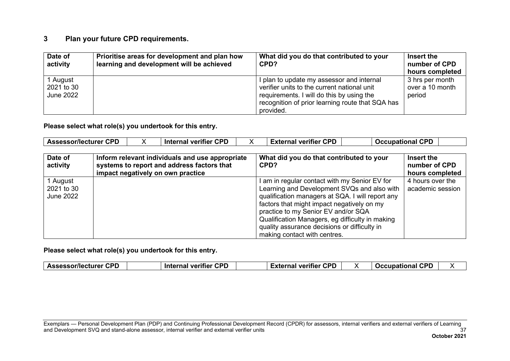#### **3 Plan your future CPD requirements.**

| Date of<br>activity                        | Prioritise areas for development and plan how<br>learning and development will be achieved | What did you do that contributed to your<br>CPD?                                                                                                                                                       | Insert the<br>number of CPD<br>hours completed |
|--------------------------------------------|--------------------------------------------------------------------------------------------|--------------------------------------------------------------------------------------------------------------------------------------------------------------------------------------------------------|------------------------------------------------|
| 1 August<br>2021 to 30<br><b>June 2022</b> |                                                                                            | I plan to update my assessor and internal<br>verifier units to the current national unit<br>requirements. I will do this by using the<br>recognition of prior learning route that SQA has<br>provided. | 3 hrs per month<br>over a 10 month<br>period   |

**Please select what role(s) you undertook for this entry.**

| Assessor/lecturer CPD | <b>CPD</b><br>Internal verifier | <b>CPD</b><br>External verifier | <b>Occupational</b> | <b>CPD</b> |
|-----------------------|---------------------------------|---------------------------------|---------------------|------------|
|                       |                                 |                                 |                     |            |

| Date of<br>activity | Inform relevant individuals and use appropriate<br>systems to report and address factors that<br>impact negatively on own practice | What did you do that contributed to your<br>CPD? | Insert the<br>number of CPD<br>hours completed |
|---------------------|------------------------------------------------------------------------------------------------------------------------------------|--------------------------------------------------|------------------------------------------------|
| 1 August            |                                                                                                                                    | I am in regular contact with my Senior EV for    | 4 hours over the                               |
| 2021 to 30          |                                                                                                                                    | Learning and Development SVQs and also with      | academic session                               |
| June 2022           |                                                                                                                                    | qualification managers at SQA. I will report any |                                                |
|                     |                                                                                                                                    | factors that might impact negatively on my       |                                                |
|                     |                                                                                                                                    | practice to my Senior EV and/or SQA              |                                                |
|                     |                                                                                                                                    | Qualification Managers, eg difficulty in making  |                                                |
|                     |                                                                                                                                    | quality assurance decisions or difficulty in     |                                                |
|                     |                                                                                                                                    | making contact with centres.                     |                                                |

**Please select what role(s) you undertook for this entry.**

| <b>Assessor/lecturer CPD</b> | <b>Internal verifier CPD</b> | External verifier CPD |  | <b>CDF</b><br>Occupational CPL |  |
|------------------------------|------------------------------|-----------------------|--|--------------------------------|--|
|------------------------------|------------------------------|-----------------------|--|--------------------------------|--|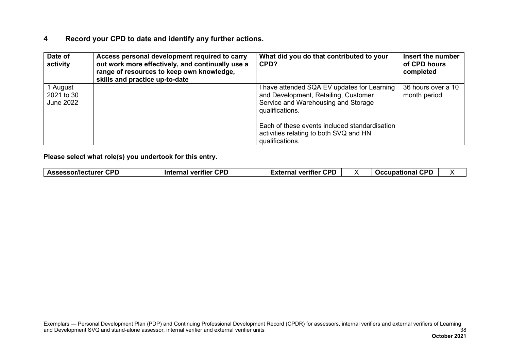| Date of<br>activity                 | Access personal development required to carry<br>out work more effectively, and continually use a<br>range of resources to keep own knowledge,<br>skills and practice up-to-date | What did you do that contributed to your<br>CPD?                                                                                              | Insert the number<br>of CPD hours<br>completed |
|-------------------------------------|----------------------------------------------------------------------------------------------------------------------------------------------------------------------------------|-----------------------------------------------------------------------------------------------------------------------------------------------|------------------------------------------------|
| 1 August<br>2021 to 30<br>June 2022 |                                                                                                                                                                                  | I have attended SQA EV updates for Learning<br>and Development, Retailing, Customer<br>Service and Warehousing and Storage<br>qualifications. | 36 hours over a 10<br>month period             |
|                                     |                                                                                                                                                                                  | Each of these events included standardisation<br>activities relating to both SVQ and HN<br>qualifications.                                    |                                                |

| <b>CPD</b><br>CDF<br>$- - -$<br>Assessor/lect<br>veritier<br>.<br>$\sim$ - $\sim$<br><b>Inter</b><br>лаашт<br>на | CDF<br><b>CDF</b><br>$-$<br>veritier<br>$T$ $\sim$<br>$\sim$<br>ю |  |
|------------------------------------------------------------------------------------------------------------------|-------------------------------------------------------------------|--|
|------------------------------------------------------------------------------------------------------------------|-------------------------------------------------------------------|--|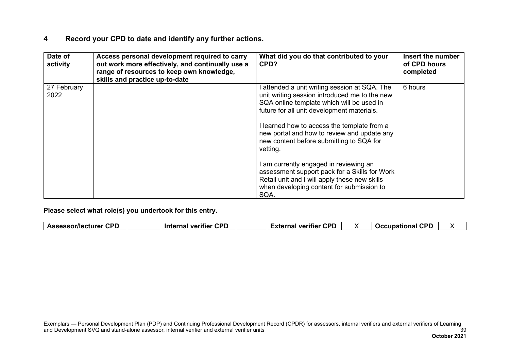| Date of<br>activity | Access personal development required to carry<br>out work more effectively, and continually use a<br>range of resources to keep own knowledge,<br>skills and practice up-to-date | What did you do that contributed to your<br>CPD?                                                                                                                                                                                                                                                                                                                                                                                                                                                                                                 | Insert the number<br>of CPD hours<br>completed |
|---------------------|----------------------------------------------------------------------------------------------------------------------------------------------------------------------------------|--------------------------------------------------------------------------------------------------------------------------------------------------------------------------------------------------------------------------------------------------------------------------------------------------------------------------------------------------------------------------------------------------------------------------------------------------------------------------------------------------------------------------------------------------|------------------------------------------------|
| 27 February<br>2022 |                                                                                                                                                                                  | I attended a unit writing session at SQA. The<br>unit writing session introduced me to the new<br>SQA online template which will be used in<br>future for all unit development materials.<br>I learned how to access the template from a<br>new portal and how to review and update any<br>new content before submitting to SQA for<br>vetting.<br>I am currently engaged in reviewing an<br>assessment support pack for a Skills for Work<br>Retail unit and I will apply these new skills<br>when developing content for submission to<br>SQA. | 6 hours                                        |

|  | <b>CPD</b><br><b>Assessor/lecturer</b> | CDP<br>$- - -$<br><b>Internal</b><br>veritier<br>. | <b>CPD</b><br>--<br>veritier<br>-waawaal<br>наг<br>-^ |  | CDF<br>∖ational<br>Occupat<br>. |  |
|--|----------------------------------------|----------------------------------------------------|-------------------------------------------------------|--|---------------------------------|--|
|--|----------------------------------------|----------------------------------------------------|-------------------------------------------------------|--|---------------------------------|--|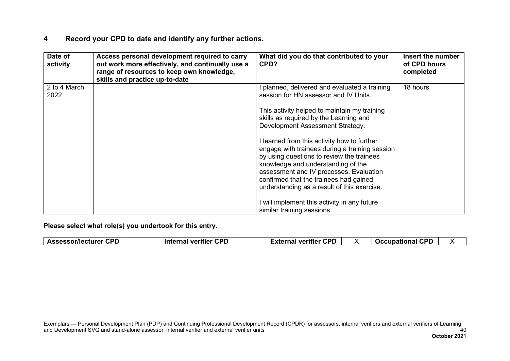| Date of<br>activity  | Access personal development required to carry<br>out work more effectively, and continually use a<br>range of resources to keep own knowledge,<br>skills and practice up-to-date | What did you do that contributed to your<br>CPD?                                                                                                                                                                                                                                                                                                                                                                                                                                                                                           | Insert the number<br>of CPD hours<br>completed |
|----------------------|----------------------------------------------------------------------------------------------------------------------------------------------------------------------------------|--------------------------------------------------------------------------------------------------------------------------------------------------------------------------------------------------------------------------------------------------------------------------------------------------------------------------------------------------------------------------------------------------------------------------------------------------------------------------------------------------------------------------------------------|------------------------------------------------|
| 2 to 4 March<br>2022 |                                                                                                                                                                                  | planned, delivered and evaluated a training<br>session for HN assessor and IV Units.<br>This activity helped to maintain my training<br>skills as required by the Learning and<br>Development Assessment Strategy.<br>I learned from this activity how to further<br>engage with trainees during a training session<br>by using questions to review the trainees<br>knowledge and understanding of the<br>assessment and IV processes. Evaluation<br>confirmed that the trainees had gained<br>understanding as a result of this exercise. | 18 hours                                       |
|                      |                                                                                                                                                                                  | will implement this activity in any future<br>similar training sessions.                                                                                                                                                                                                                                                                                                                                                                                                                                                                   |                                                |

| <b>Assessor/lecturer CPD</b><br><b>Internal verifier CPD</b> |  | <b>External verifier CPD</b> |  | <b>Occupational CPD</b> |  |
|--------------------------------------------------------------|--|------------------------------|--|-------------------------|--|
|--------------------------------------------------------------|--|------------------------------|--|-------------------------|--|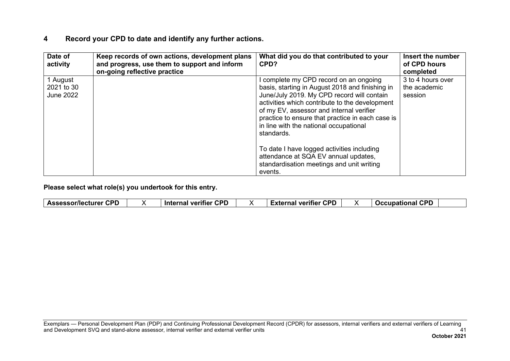| Date of<br>activity                        | Keep records of own actions, development plans<br>and progress, use them to support and inform<br>on-going reflective practice | What did you do that contributed to your<br>CPD?                                                                                                                                                                                                                                                                                                | Insert the number<br>of CPD hours<br>completed |
|--------------------------------------------|--------------------------------------------------------------------------------------------------------------------------------|-------------------------------------------------------------------------------------------------------------------------------------------------------------------------------------------------------------------------------------------------------------------------------------------------------------------------------------------------|------------------------------------------------|
| 1 August<br>2021 to 30<br><b>June 2022</b> |                                                                                                                                | complete my CPD record on an ongoing<br>basis, starting in August 2018 and finishing in<br>June/July 2019. My CPD record will contain<br>activities which contribute to the development<br>of my EV, assessor and internal verifier<br>practice to ensure that practice in each case is<br>in line with the national occupational<br>standards. | 3 to 4 hours over<br>the academic<br>session   |
|                                            |                                                                                                                                | To date I have logged activities including<br>attendance at SQA EV annual updates,<br>standardisation meetings and unit writing<br>events.                                                                                                                                                                                                      |                                                |

| <b>CPD</b><br><b>CPD</b><br>∵CPD<br>CDF<br><b>Assessor/lecturer</b><br><b>Occupational</b><br>External verifier<br>Internal verifier<br>. |
|-------------------------------------------------------------------------------------------------------------------------------------------|
|-------------------------------------------------------------------------------------------------------------------------------------------|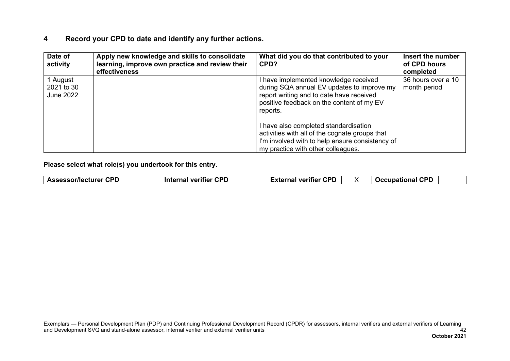| Date of<br>activity                        | Apply new knowledge and skills to consolidate<br>learning, improve own practice and review their<br>effectiveness | What did you do that contributed to your<br>CPD?                                                                                                                                         | Insert the number<br>of CPD hours<br>completed |
|--------------------------------------------|-------------------------------------------------------------------------------------------------------------------|------------------------------------------------------------------------------------------------------------------------------------------------------------------------------------------|------------------------------------------------|
| 1 August<br>2021 to 30<br><b>June 2022</b> |                                                                                                                   | I have implemented knowledge received<br>during SQA annual EV updates to improve my<br>report writing and to date have received<br>positive feedback on the content of my EV<br>reports. | 36 hours over a 10<br>month period             |
|                                            |                                                                                                                   | I have also completed standardisation<br>activities with all of the cognate groups that<br>I'm involved with to help ensure consistency of<br>my practice with other colleagues.         |                                                |

**Please select what role(s) you undertook for this entry.**

| <b>Assessor/lecturer CPD</b> | <b>Internal verifier CPD</b> |  | <b>External verifier CPD</b> |  | <b>Occupational CPD</b> |  |
|------------------------------|------------------------------|--|------------------------------|--|-------------------------|--|
|------------------------------|------------------------------|--|------------------------------|--|-------------------------|--|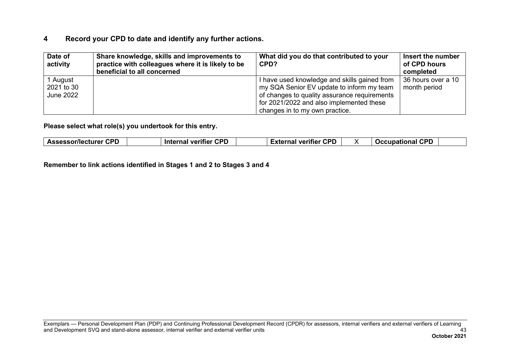| Date of<br>activity                 | Share knowledge, skills and improvements to<br>practice with colleagues where it is likely to be<br>beneficial to all concerned | What did you do that contributed to your<br>CPD?                                                                                                                                                                        | Insert the number<br>of CPD hours<br>completed |
|-------------------------------------|---------------------------------------------------------------------------------------------------------------------------------|-------------------------------------------------------------------------------------------------------------------------------------------------------------------------------------------------------------------------|------------------------------------------------|
| 1 August<br>2021 to 30<br>June 2022 |                                                                                                                                 | I have used knowledge and skills gained from<br>my SQA Senior EV update to inform my team<br>of changes to quality assurance requirements<br>for 2021/2022 and also implemented these<br>changes in to my own practice. | 36 hours over a 10<br>month period             |

**Please select what role(s) you undertook for this entry.**

**Remember to link actions identified in Stages 1 and 2 to Stages 3 and 4**